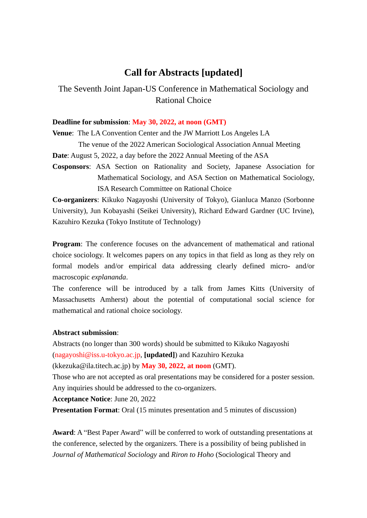# **Call for Abstracts [updated]**

The Seventh Joint Japan-US Conference in Mathematical Sociology and Rational Choice

### **Deadline for submission**: **May 30, 2022, at noon (GMT)**

**Venue**: The LA Convention Center and the JW Marriott Los Angeles LA

The venue of the 2022 American Sociological Association Annual Meeting

**Date**: August 5, 2022, a day before the 2022 Annual Meeting of the ASA

**Cosponsors**: ASA Section on Rationality and Society, Japanese Association for Mathematical Sociology, and ASA Section on Mathematical Sociology, ISA Research Committee on Rational Choice

**Co-organizers**: Kikuko Nagayoshi (University of Tokyo), Gianluca Manzo (Sorbonne University), Jun Kobayashi (Seikei University), Richard Edward Gardner (UC Irvine), Kazuhiro Kezuka (Tokyo Institute of Technology)

**Program**: The conference focuses on the advancement of mathematical and rational choice sociology. It welcomes papers on any topics in that field as long as they rely on formal models and/or empirical data addressing clearly defined micro- and/or macroscopic *explananda*.

The conference will be introduced by a talk from James Kitts (University of Massachusetts Amherst) about the potential of computational social science for mathematical and rational choice sociology.

#### **Abstract submission**:

Abstracts (no longer than 300 words) should be submitted to Kikuko Nagayoshi (nagayoshi@iss.u-tokyo.ac.jp, **[updated]**) and Kazuhiro Kezuka

(kkezuka@ila.titech.ac.jp) by **May 30, 2022, at noon** (GMT).

Those who are not accepted as oral presentations may be considered for a poster session. Any inquiries should be addressed to the co-organizers.

**Acceptance Notice**: June 20, 2022

**Presentation Format**: Oral (15 minutes presentation and 5 minutes of discussion)

**Award**: A "Best Paper Award" will be conferred to work of outstanding presentations at the conference, selected by the organizers. There is a possibility of being published in *Journal of Mathematical Sociology* and *Riron to Hoho* (Sociological Theory and